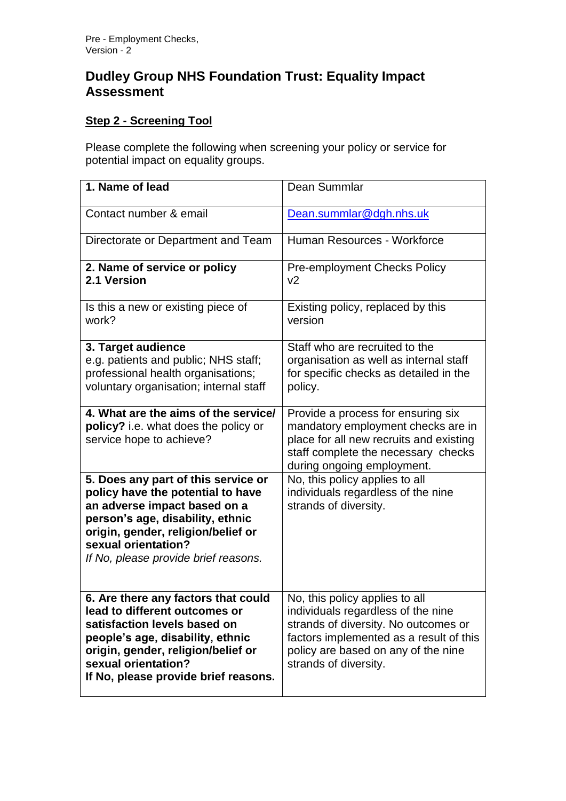## **Dudley Group NHS Foundation Trust: Equality Impact Assessment**

## **Step 2 - Screening Tool**

Please complete the following when screening your policy or service for potential impact on equality groups.

| 1. Name of lead                                                                                                                                                                                                                                   | Dean Summlar                                                                                                                                                                                                            |
|---------------------------------------------------------------------------------------------------------------------------------------------------------------------------------------------------------------------------------------------------|-------------------------------------------------------------------------------------------------------------------------------------------------------------------------------------------------------------------------|
| Contact number & email                                                                                                                                                                                                                            | Dean.summlar@dgh.nhs.uk                                                                                                                                                                                                 |
| Directorate or Department and Team                                                                                                                                                                                                                | Human Resources - Workforce                                                                                                                                                                                             |
| 2. Name of service or policy<br>2.1 Version                                                                                                                                                                                                       | <b>Pre-employment Checks Policy</b><br>v <sub>2</sub>                                                                                                                                                                   |
| Is this a new or existing piece of<br>work?                                                                                                                                                                                                       | Existing policy, replaced by this<br>version                                                                                                                                                                            |
| 3. Target audience<br>e.g. patients and public; NHS staff;<br>professional health organisations;<br>voluntary organisation; internal staff                                                                                                        | Staff who are recruited to the<br>organisation as well as internal staff<br>for specific checks as detailed in the<br>policy.                                                                                           |
| 4. What are the aims of the service/<br>policy? i.e. what does the policy or<br>service hope to achieve?                                                                                                                                          | Provide a process for ensuring six<br>mandatory employment checks are in<br>place for all new recruits and existing<br>staff complete the necessary checks<br>during ongoing employment.                                |
| 5. Does any part of this service or<br>policy have the potential to have<br>an adverse impact based on a<br>person's age, disability, ethnic<br>origin, gender, religion/belief or<br>sexual orientation?<br>If No, please provide brief reasons. | No, this policy applies to all<br>individuals regardless of the nine<br>strands of diversity.                                                                                                                           |
| 6. Are there any factors that could<br>lead to different outcomes or<br>satisfaction levels based on<br>people's age, disability, ethnic<br>origin, gender, religion/belief or<br>sexual orientation?<br>If No, please provide brief reasons.     | No, this policy applies to all<br>individuals regardless of the nine<br>strands of diversity. No outcomes or<br>factors implemented as a result of this<br>policy are based on any of the nine<br>strands of diversity. |